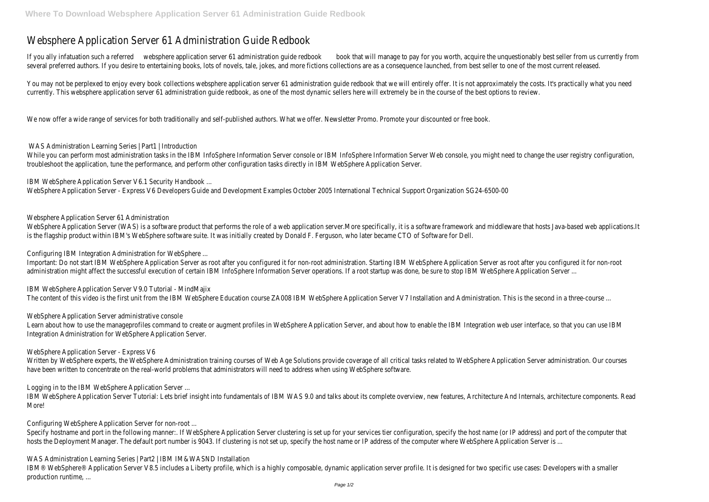## Websphere Application Server 61 Administration Guide Redbook

If you ally infatuation such a referred peplication server 61 administration quideod book will manage to pay for you worth, acquire the unquestionably best seller from us currently from us currently from us currently from several preferred authors. If you desire to entertaining books, lots of novels, tale, jokes, and more fictions collections are as a consequence launched, from best seller to one of the most release.

You may not be perplexed to enjoy every book collections websphere application server 61 administration guide redbook that we will entirely offer. It is not approximately the costs. currently. This websphere application server 61 administration guide redbook, as one of the most dynamic sellers here will extremely be in the course of the best options to review.

While you can perform most administration tasks in the IBM InfoSphere Information Server Information Server Web console, you might need to change the troubleshoot the application, tune the performance, and perform other configuration tasks directly in IBM WebSphere Application Server.

We now offer a wide range of services for both traditionally and self-published authors. What we offer. Newsletter Promo. Promote your discounted or free book.

WAS Administration Learning Series | Part1 | Introduction

WebSphere Application Server (WAS) is a software product that performs the role of a web application server.More specifically, it is a software framework and middleware that hos is the flagship product within IBM's WebSphere software suite. It was initially created by Donald F. Ferguson, who later became CTO of Software for Dell.

IBM WebSphere Application Server V9.0 Tutorial - MindMajix The content of this video is the first unit from the IBM WebSphere Education course ZAOO8 IBM WebSphere Application Server V7 Installation and Administration. This is the second

IBM WebSphere Application Server V6.1 Security Handbook ...

Learn about how to use the manageprofiles command to create or augment profiles in WebSphere Application Server, and about how to enable the IBM Integration web user interfa Integration Administration for WebSphere Application Server.

WebSphere Application Server - Express V6 Developers Guide and Development Examples October 2005 International Technical Support Organization SG24-6500-00

Websphere Application Server 61 Administration

Written by WebSphere experts, the WebSphere Administration training courses of Web Age Solutions provide coverage of all critical tasks related to WebSphere Application Server administration. have been written to concentrate on the real-world problems that administrators will need to address when using WebSphere software.

IBM WebSphere Application Server Tutorial: Lets brief insight into fundamentals of IBM WAS 9.0 and talks about its complete overview, new features, Architecture And Internals, architecture And Internals, architecture And I More!

Configuring IBM Integration Administration for WebSphere ...

Important: Do not start IBM WebSphere Application Server as root after you configured it for non-root administration. Starting IBM WebSphere Application Server as root after you administration might affect the successful execution of certain IBM InfoSphere Information Server operations. If a root startup was done, be sure to stop IBM WebSphere Applicatic

IBM® WebSphere® Application Server V8.5 includes a Liberty profile, which is a highly composable, dynamic application server profile. It is designed for two specific use cases: Developers production runtime, ...

WebSphere Application Server administrative console

WebSphere Application Server - Express V6

Logging in to the IBM WebSphere Application Server ...

Configuring WebSphere Application Server for non-root ...

Specify hostname and port in the following manner:. If WebSphere Application Server clustering is set up for your services tier configuration, specify the host name (or IP address) a hosts the Deployment Manager. The default port number is 9043. If clustering is not set up, specify the host name or IP address of the computer where WebSphere Application Ser

WAS Administration Learning Series | Part2 | IBM IM&WASND Installation